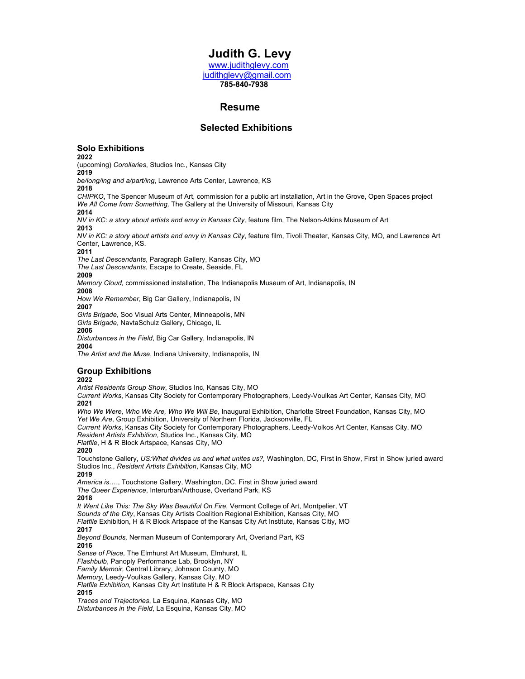# **Judith G. Levy** www.judithglevy.com

judithglevy@gmail.com  **785-840-7938**

# **Resume**<br> **Resume**

# **Selected Exhibitions**

## **Solo Exhibitions**

**2022**

(upcoming) *Corollaries*, Studios Inc., Kansas City **2019**

*be/long/ing and a/part/ing*, Lawrence Arts Center, Lawrence, KS **2018**

*CHIPKO***,** The Spencer Museum of Art, commission for a public art installation, Art in the Grove, Open Spaces project *We All Come from Something,* The Gallery at the University of Missouri, Kansas City

**2014**

*NV in KC*: *a story about artists and envy in Kansas City,* feature film*,* The Nelson-Atkins Museum of Art **2013** 

*NV in KC: a story about artists and envy in Kansas City*, feature film, Tivoli Theater, Kansas City, MO, and Lawrence Art Center, Lawrence, KS.

**2011** *The Last Descendants*, Paragraph Gallery, Kansas City, MO

*The Last Descendants*, Escape to Create, Seaside, FL

**2009**

*Memory Cloud,* commissioned installation, The Indianapolis Museum of Art, Indianapolis, IN

**2008**

*How We Remember*, Big Car Gallery, Indianapolis, IN

**2007**

*Girls Brigade,* Soo Visual Arts Center, Minneapolis, MN *Girls Brigade*, NavtaSchulz Gallery, Chicago, IL

**2006**

*Disturbances in the Field*, Big Car Gallery, Indianapolis, IN **2004**

*The Artist and the Muse*, Indiana University, Indianapolis, IN

## **Group Exhibitions**

## **2022**

*Artist Residents Group Show*, Studios Inc, Kansas City, MO

*Current Works*, Kansas City Society for Contemporary Photographers, Leedy-Voulkas Art Center, Kansas City, MO **2021**

*Who We Were, Who We Are, Who We Will Be*, Inaugural Exhibition, Charlotte Street Foundation, Kansas City, MO *Yet We Are*, Group Exhibition, University of Northern Florida, Jacksonville, FL

*Current Works*, Kansas City Society for Contemporary Photographers, Leedy-Volkos Art Center, Kansas City, MO *Resident Artists Exhibition*, Studios Inc., Kansas City, MO

*Flatfile*, H & R Block Artspace, Kansas City, MO

**2020**

Touchstone Gallery, *US:What divides us and what unites us?,* Washington, DC, First in Show, First in Show juried award Studios Inc., *Resident Artists Exhibition*, Kansas City, MO

**2019**

*America is*…., Touchstone Gallery, Washington, DC, First in Show juried award

*The Queer Experience*, Interurban/Arthouse, Overland Park, KS

**2018**

*It Went Like This: The Sky Was Beautiful On Fire,* Vermont College of Art, Montpelier, VT

*Sounds of the City*, Kansas City Artists Coalition Regional Exhibition, Kansas City, MO

*Flatfile* Exhibition, H & R Block Artspace of the Kansas City Art Institute, Kansas Citiy, MO

**2017**

*Beyond Bounds,* Nerman Museum of Contemporary Art, Overland Part, KS

**2016**

*Sense of Place,* The Elmhurst Art Museum, Elmhurst, IL

*Flashbulb*, Panoply Performance Lab, Brooklyn, NY

*Family Memoir,* Central Library, Johnson County, MO

*Memory,* Leedy-Voulkas Gallery, Kansas City, MO

*Flatfile Exhibition,* Kansas City Art Institute H & R Block Artspace, Kansas City **2015**

*Traces and Trajectories*, La Esquina, Kansas City, MO *Disturbances in the Field*, La Esquina, Kansas City, MO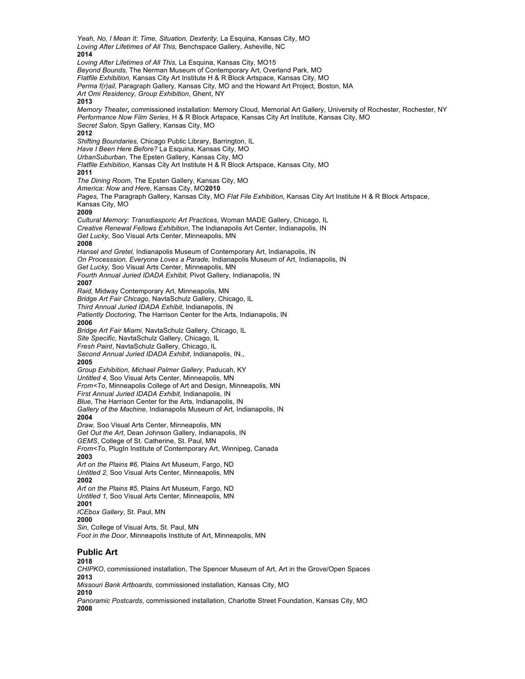*Yeah, No, I Mean It: Time, Situation, Dexterity,* La Esquina, Kansas City, MO *Loving After Lifetimes of All This,* Benchspace Gallery, Asheville, NC **2014** *Loving After Lifetimes of All This,* La Esquina, Kansas City, MO15 *Beyond Bounds,* The Nerman Museum of Contemporary Art, Overland Park, MO *Flatfile Exhibition,* Kansas City Art Institute H & R Block Artspace, Kansas City, MO *Perma f(r)ail,* Paragraph Gallery*,* Kansas City, MO and the Howard Art Project, Boston, MA *Art Omi Residency, Group Exhibition*, Ghent, NY **2013** *Memory Theater,* commissioned installation: Memory Cloud, Memorial Art Gallery, University of Rochester, Rochester, NY *Performance Now Film Series*, H & R Block Artspace, Kansas City Art Institute, Kansas City, MO *Secret Salon*, Spyn Gallery, Kansas City, MO **2012** *Shifting Boundaries,* Chicago Public Library, Barrington, IL *Have I Been Here Before?* La Esquina, Kansas City, MO *UrbanSuburban*, The Epsten Gallery, Kansas City, MO *Flatfile Exhibition*, Kansas City Art Institute H & R Block Artspace, Kansas City, MO **2011** *The Dining Room*, The Epsten Gallery, Kansas City, MO *America: Now and Here*, Kansas City, MO**2010** *Pages,* The Paragraph Gallery, Kansas City, MO *Flat File Exhibition*, Kansas City Art Institute H & R Block Artspace, Kansas City, MO **2009** *Cultural Memory: Transdiasporic Art Practices*, Woman MADE Gallery, Chicago, IL *Creative Renewal Fellows Exhibition*, The Indianapolis Art Center, Indianapolis, IN *Get Lucky*, Soo Visual Arts Center, Minneapolis, MN **2008** *Hansel and Gretel,* Indianapolis Museum of Contemporary Art, Indianapolis, IN *On Processsion, Everyone Loves a Parade,* Indianapolis Museum of Art, Indianapolis, IN *Get Lucky,* Soo Visual Arts Center, Minneapolis, MN *Fourth Annual Juried IDADA Exhibit,* Pivot Gallery, Indianapolis, IN **2007** *Raid,* Midway Contemporary Art, Minneapolis, MN *Bridge Art Fair Chicago,* NavtaSchulz Gallery, Chicago, IL *Third Annual Juried IDADA Exhibit*, Indianapolis, IN *Patiently Doctoring*, The Harrison Center for the Arts, Indianapolis, IN **2006** *Bridge Art Fair Miami,* NavtaSchulz Gallery, Chicago, IL *Site Specific*, NavtaSchulz Gallery, Chicago, IL *Fresh Paint*, NavtaSchulz Gallery, Chicago, IL *Second Annual Juried IDADA Exhibit*, Indianapolis, IN., **2005** *Group Exhibition, Michael Palmer Gallery*, Paducah, KY *Untitled 4*, Soo Visual Arts Center, Minneapolis, MN *From<To*, Minneapolis College of Art and Design, Minneapolis, MN *First Annual Juried IDADA Exhibit*, Indianapolis, IN *Blue,* The Harrison Center for the Arts, Indianapolis, IN *Gallery of the Machine*, Indianapolis Museum of Art, Indianapolis, IN **2004** *Draw,* Soo Visual Arts Center, Minneapolis, MN *Get Out the Art*, Dean Johnson Gallery, Indianapolis, IN *GEMS*, College of St. Catherine, St. Paul, MN *From<To,* PlugIn Institute of Contemporary Art, Winnipeg, Canada **2003** *Art on the Plains #6,* Plains Art Museum, Fargo, ND *Untitled 2,* Soo Visual Arts Center, Minneapolis, MN **2002** *Art on the Plains #5*, Plains Art Museum, Fargo, ND *Untitled 1,* Soo Visual Arts Center, Minneapolis, MN **2001**  *ICEbox Gallery*, St. Paul, MN **2000** *Sin*, College of Visual Arts, St. Paul, MN *Foot in the Door*, Minneapolis Institute of Art, Minneapolis, MN **Public Art 2018** *CHIPKO*, commissioned installation, The Spencer Museum of Art, Art in the Grove/Open Spaces **2013** *Missouri Bank Artboards*, commissioned installation, Kansas City, MO **2010**

*Panoramic Postcards*, commissioned installation, Charlotte Street Foundation, Kansas City, MO **2008**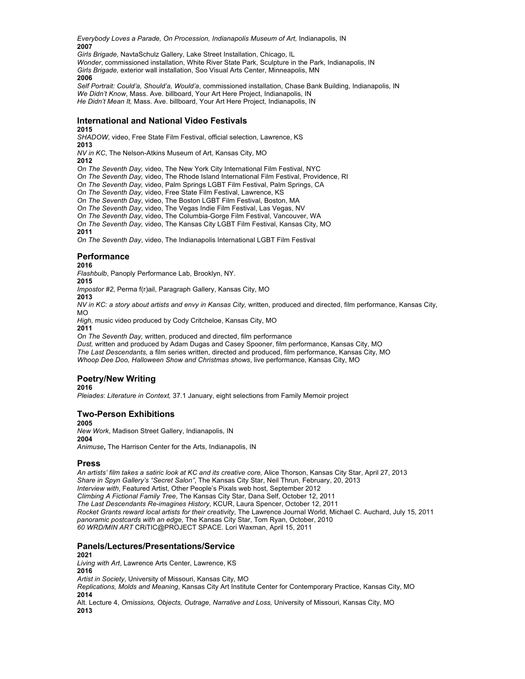*Everybody Loves a Parade, On Procession, Indianapolis Museum of Art,* Indianapolis, IN **2007**

*Girls Brigade,* NavtaSchulz Gallery, Lake Street Installation, Chicago, IL

*Wonder*, commissioned installation, White River State Park, Sculpture in the Park, Indianapolis, IN *Girls Brigade,* exterior wall installation, Soo Visual Arts Center, Minneapolis, MN **2006**

*Self Portrait: Could'a, Should'a, Would'a*, commissioned installation, Chase Bank Building, Indianapolis, IN *We Didn't Know*, Mass. Ave. billboard, Your Art Here Project, Indianapolis, IN *He Didn't Mean It,* Mass. Ave. billboard, Your Art Here Project, Indianapolis, IN

# **International and National Video Festivals**

## **2015**

*SHADOW*, video, Free State Film Festival, official selection, Lawrence, KS **2013**

*NV in KC*, The Nelson-Atkins Museum of Art, Kansas City, MO

## **2012**

*On The Seventh Day,* video, The New York City International Film Festival, NYC

*On The Seventh Day,* video, The Rhode Island International Film Festival, Providence, RI

*On The Seventh Day,* video, Palm Springs LGBT Film Festival, Palm Springs, CA

*On The Seventh Day,* video, Free State Film Festival, Lawrence, KS

*On The Seventh Day*, video, The Boston LGBT Film Festival, Boston, MA

*On The Seventh Day*, video, The Vegas Indie Film Festival, Las Vegas, NV

*On The Seventh Day*, video, The Columbia-Gorge Film Festival, Vancouver, WA

*On The Seventh Day,* video, The Kansas City LGBT Film Festival, Kansas City, MO

## **2011**

*On The Seventh Day*, video, The Indianapolis International LGBT Film Festival

## **Performance**

**2016**

*Flashbulb*, Panoply Performance Lab, Brooklyn, NY.

**2015**

*Impostor #2*, Perma f(r)ail, Paragraph Gallery, Kansas City, MO

**2013**

*NV in KC: a story about artists and envy in Kansas City, written, produced and directed, film performance, Kansas City,* MO

*High,* music video produced by Cody Critcheloe, Kansas City, MO

**2011**

*On The Seventh Day,* written, produced and directed, film performance

*Dust,* written and produced by Adam Dugas and Casey Spooner, film performance, Kansas City, MO *The Last Descendants,* a film series written, directed and produced, film performance, Kansas City, MO *Whoop Dee Doo, Halloween Show and Christmas shows*, live performance, Kansas City, MO

# **Poetry/New Writing**

**2016**

*Pleiades*: *Literature in Context,* 37.1 January, eight selections from Family Memoir project

# **Two-Person Exhibitions**

**2005**

*New Work*, Madison Street Gallery, Indianapolis, IN **2004**

*Animuse***,** The Harrison Center for the Arts, Indianapolis, IN

## **Press**

*An artists' film takes a satiric look at KC and its creative core,* Alice Thorson, Kansas City Star, April 27, 2013 *Share in Spyn Gallery's "Secret Salon"*, The Kansas City Star, Neil Thrun, February, 20, 2013 *Interview with*, Featured Artist, Other People's Pixals web host, September 2012 *Climbing A Fictional Family Tree*, The Kansas City Star, Dana Self, October 12, 2011 *The Last Descendants Re-imagines History*, KCUR, Laura Spencer, October 12, 2011 *Rocket Grants reward local artists for their creativity*, The Lawrence Journal World, Michael C. Auchard, July 15, 2011 *panoramic postcards with an edge,* The Kansas City Star, Tom Ryan, October, 2010 *60 WRD/MIN ART* CRiTIC@PROJECT SPACE. Lori Waxman, April 15, 2011

## **Panels/Lectures/Presentations/Service**

## **2021**

*Living with Art*, Lawrence Arts Center, Lawrence, KS **2016**

*Artist in Society*, University of Missouri, Kansas City, MO

*Replications, Molds and Meaning*, Kansas City Art Institute Center for Contemporary Practice, Kansas City, MO **2014**

Alt. Lecture 4, *Omissions, Objects, Outrage, Narrative and Loss,* University of Missouri, Kansas City, MO **2013**